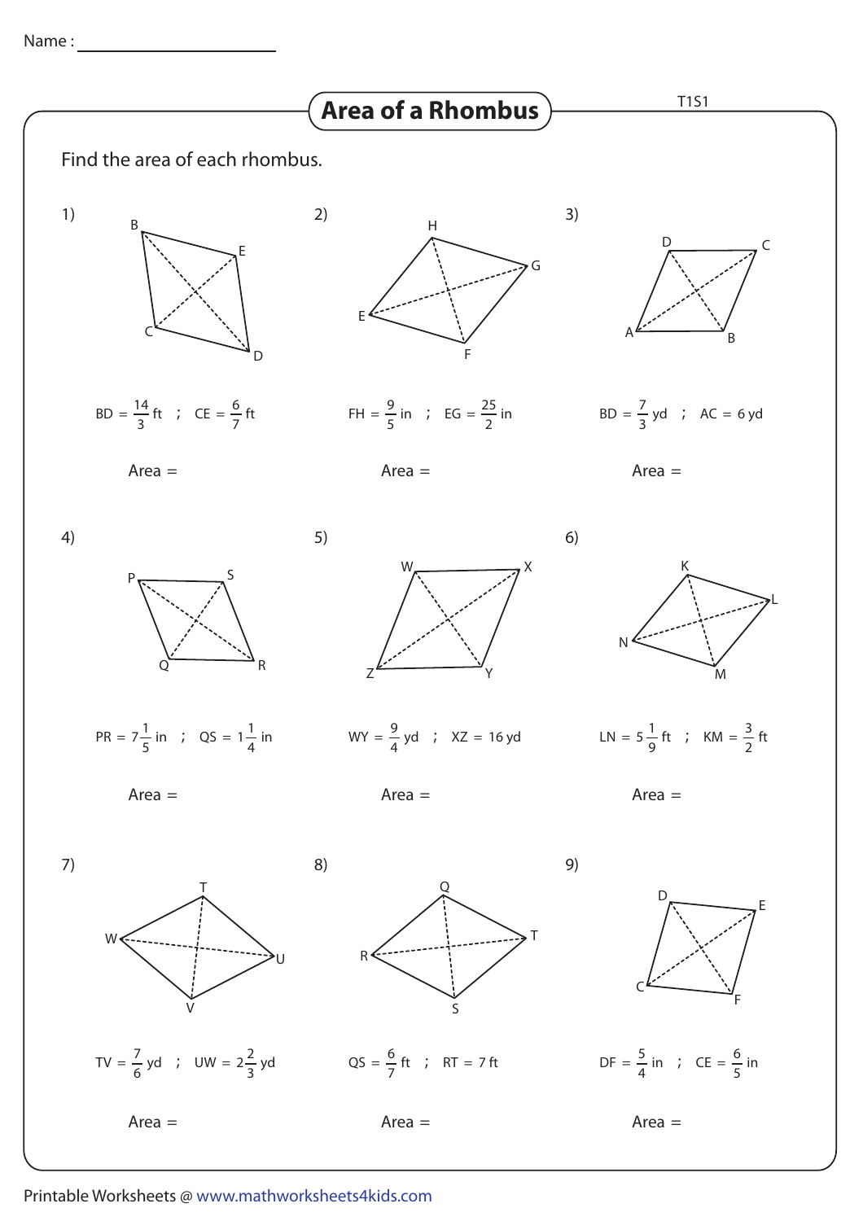